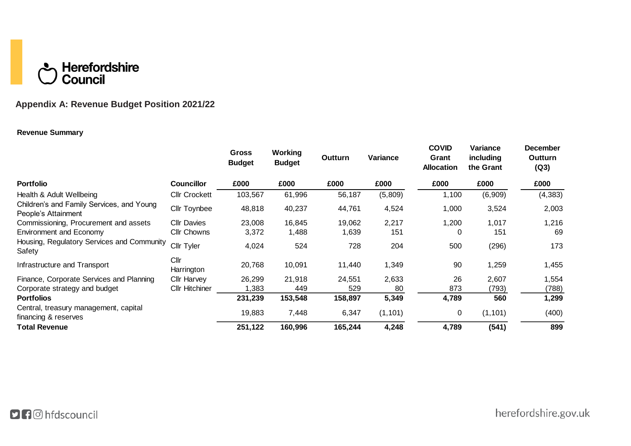# **C** Herefordshire<br>C Council

# **Appendix A: Revenue Budget Position 2021/22**

## **Revenue Summary**

|                                                                  |                       | <b>Gross</b><br><b>Budget</b> | Working<br><b>Budget</b> | Outturn | Variance | <b>COVID</b><br>Grant<br><b>Allocation</b> | Variance<br>including<br>the Grant | <b>December</b><br>Outturn<br>(Q3) |
|------------------------------------------------------------------|-----------------------|-------------------------------|--------------------------|---------|----------|--------------------------------------------|------------------------------------|------------------------------------|
| <b>Portfolio</b>                                                 | <b>Councillor</b>     | £000                          | £000                     | £000    | £000     | £000                                       | £000                               | £000                               |
| Health & Adult Wellbeing                                         | <b>Cllr Crockett</b>  | 103,567                       | 61,996                   | 56,187  | (5,809)  | 1,100                                      | (6,909)                            | (4, 383)                           |
| Children's and Family Services, and Young<br>People's Attainment | <b>Cllr Toynbee</b>   | 48,818                        | 40,237                   | 44,761  | 4,524    | 1,000                                      | 3,524                              | 2,003                              |
| Commissioning, Procurement and assets                            | <b>Cllr Davies</b>    | 23,008                        | 16,845                   | 19,062  | 2,217    | 1,200                                      | 1,017                              | 1,216                              |
| <b>Environment and Economy</b>                                   | <b>Cllr Chowns</b>    | 3,372                         | 1,488                    | 1,639   | 151      | 0                                          | 151                                | 69                                 |
| Housing, Regulatory Services and Community<br>Safety             | Cllr Tyler            | 4,024                         | 524                      | 728     | 204      | 500                                        | (296)                              | 173                                |
| Infrastructure and Transport                                     | Cllr<br>Harrington    | 20,768                        | 10,091                   | 11,440  | 1,349    | 90                                         | 1,259                              | 1,455                              |
| Finance, Corporate Services and Planning                         | <b>Cllr Harvey</b>    | 26,299                        | 21,918                   | 24,551  | 2,633    | 26                                         | 2,607                              | 1,554                              |
| Corporate strategy and budget                                    | <b>Cllr Hitchiner</b> | ,383                          | 449                      | 529     | 80       | 873                                        | (793)                              | (788)                              |
| <b>Portfolios</b>                                                |                       | 231,239                       | 153,548                  | 158,897 | 5,349    | 4,789                                      | 560                                | 1,299                              |
| Central, treasury management, capital<br>financing & reserves    |                       | 19,883                        | 7,448                    | 6,347   | (1, 101) | 0                                          | (1, 101)                           | (400)                              |
| <b>Total Revenue</b>                                             |                       | 251,122                       | 160,996                  | 165,244 | 4,248    | 4,789                                      | (541)                              | 899                                |

herefordshire.gov.uk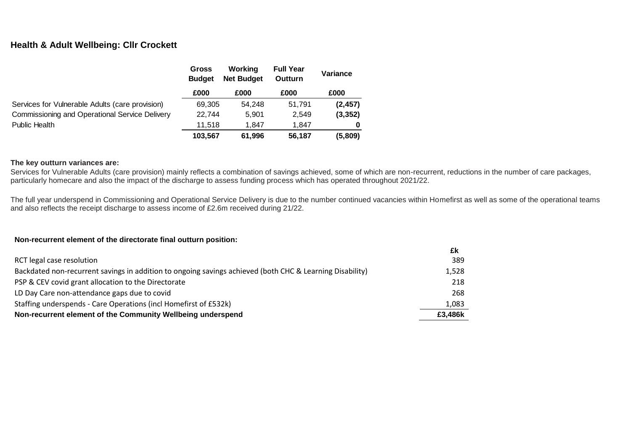# **Health & Adult Wellbeing: Cllr Crockett**

|                                                 | <b>Gross</b><br><b>Budget</b> | Working<br><b>Full Year</b><br><b>Net Budget</b><br>Outturn |        | Variance |
|-------------------------------------------------|-------------------------------|-------------------------------------------------------------|--------|----------|
|                                                 | £000                          | £000                                                        | £000   | £000     |
| Services for Vulnerable Adults (care provision) | 69.305                        | 54.248                                                      | 51.791 | (2, 457) |
| Commissioning and Operational Service Delivery  | 22.744                        | 5.901                                                       | 2.549  | (3, 352) |
| Public Health                                   | 11.518                        | 1.847                                                       | 1.847  |          |
|                                                 | 103.567                       | 61,996                                                      | 56,187 | (5,809)  |

#### **The key outturn variances are:**

Services for Vulnerable Adults (care provision) mainly reflects a combination of savings achieved, some of which are non-recurrent, reductions in the number of care packages, particularly homecare and also the impact of the discharge to assess funding process which has operated throughout 2021/22.

The full year underspend in Commissioning and Operational Service Delivery is due to the number continued vacancies within Homefirst as well as some of the operational teams and also reflects the receipt discharge to assess income of £2.6m received during 21/22.

#### **Non-recurrent element of the directorate final outturn position:**

|                                                                                                          | £k      |
|----------------------------------------------------------------------------------------------------------|---------|
| RCT legal case resolution                                                                                | 389     |
| Backdated non-recurrent savings in addition to ongoing savings achieved (both CHC & Learning Disability) | 1,528   |
| PSP & CEV covid grant allocation to the Directorate                                                      | 218     |
| LD Day Care non-attendance gaps due to covid                                                             | 268     |
| Staffing underspends - Care Operations (incl Homefirst of £532k)                                         | 1,083   |
| Non-recurrent element of the Community Wellbeing underspend                                              | £3,486k |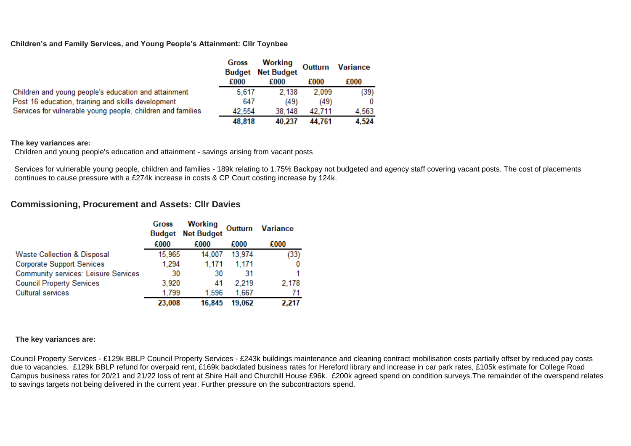#### **Children's and Family Services, and Young People's Attainment: Cllr Toynbee**

|                                                             | Gross  | Working<br><b>Budget</b> Net Budget | Outturn | <b>Variance</b> |
|-------------------------------------------------------------|--------|-------------------------------------|---------|-----------------|
|                                                             | £000   | £000                                | £000    | £000            |
| Children and young people's education and attainment        | 5,617  | 2.138                               | 2.099   | (39)            |
| Post 16 education, training and skills development          | 647    | (49)                                | (49)    | $\bf{0}$        |
| Services for vulnerable young people, children and families | 42.554 | 38.148                              | 42.711  | 4.563           |
|                                                             | 48,818 | 40,237                              | 44.761  | 4,524           |

#### **The key variances are:**

Children and young people's education and attainment - savings arising from vacant posts

Services for vulnerable young people, children and families - 189k relating to 1.75% Backpay not budgeted and agency staff covering vacant posts. The cost of placements continues to cause pressure with a £274k increase in costs & CP Court costing increase by 124k.

# **Commissioning, Procurement and Assets: Cllr Davies**

|                                             | <b>Gross</b><br><b>Budget</b> | <b>Working</b><br><b>Net Budget</b> | Outturn | <b>Variance</b> |
|---------------------------------------------|-------------------------------|-------------------------------------|---------|-----------------|
|                                             | £000                          | £000                                | £000    | £000            |
| <b>Waste Collection &amp; Disposal</b>      | 15,965                        | 14,007                              | 13,974  | (33)            |
| <b>Corporate Support Services</b>           | 1,294                         | 1,171                               | 1,171   |                 |
| <b>Community services: Leisure Services</b> | 30                            | 30                                  | 31      |                 |
| <b>Council Property Services</b>            | 3,920                         | 41                                  | 2.219   | 2,178           |
| <b>Cultural services</b>                    | 1,799                         | 1,596                               | 1,667   | 71              |
|                                             | 23,008                        | 16,845                              | 19,062  | 2,217           |

## **The key variances are:**

Council Property Services - £129k BBLP Council Property Services - £243k buildings maintenance and cleaning contract mobilisation costs partially offset by reduced pay costs due to vacancies. £129k BBLP refund for overpaid rent, £169k backdated business rates for Hereford library and increase in car park rates, £105k estimate for College Road Campus business rates for 20/21 and 21/22 loss of rent at Shire Hall and Churchill House £96k. £200k agreed spend on condition surveys.The remainder of the overspend relates to savings targets not being delivered in the current year. Further pressure on the subcontractors spend.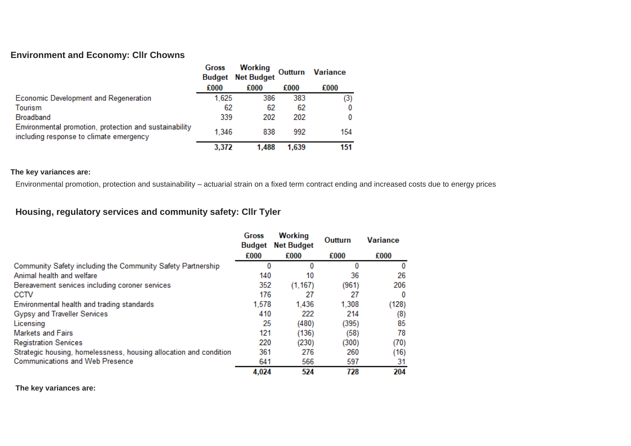# **Environment and Economy: Cllr Chowns**

|                                                                                                   | Gross | Working<br><b>Budget</b> Net Budget | Outturn | <b>Variance</b> |
|---------------------------------------------------------------------------------------------------|-------|-------------------------------------|---------|-----------------|
|                                                                                                   | £000  | £000                                | £000    | £000            |
| Economic Development and Regeneration                                                             | 1,625 | 386                                 | 383     | (3)             |
| Tourism                                                                                           | 62    | 62                                  | 62      |                 |
| <b>Broadband</b>                                                                                  | 339   | 202                                 | 202     |                 |
| Environmental promotion, protection and sustainability<br>including response to climate emergency | 1.346 | 838                                 | 992     | 154             |
|                                                                                                   | 3,372 | 1,488                               | 1,639   | 151             |

## **The key variances are:**

Environmental promotion, protection and sustainability – actuarial strain on a fixed term contract ending and increased costs due to energy prices

# **Housing, regulatory services and community safety: Cllr Tyler**

|                                                                   | Gross<br><b>Budget</b> | <b>Working</b><br><b>Net Budget</b> | Outturn | <b>Variance</b> |  |
|-------------------------------------------------------------------|------------------------|-------------------------------------|---------|-----------------|--|
|                                                                   | £000                   | £000                                | £000    | £000            |  |
| Community Safety including the Community Safety Partnership       | 0                      | 0                                   |         | $\bf{0}$        |  |
| Animal health and welfare                                         | 140                    | 10                                  | 36      | 26              |  |
| Bereavement services including coroner services                   | 352                    | (1, 167)                            | (961)   | 206             |  |
| CCTV                                                              | 176                    | 27                                  | 27      | $\bf{0}$        |  |
| Environmental health and trading standards                        | 1,578                  | 1,436                               | 1,308   | (128)           |  |
| Gypsy and Traveller Services                                      | 410                    | 222                                 | 214     | (8)             |  |
| Licensing                                                         | 25                     | (480)                               | (395)   | 85              |  |
| <b>Markets and Fairs</b>                                          | 121                    | (136)                               | (58)    | 78              |  |
| <b>Registration Services</b>                                      | 220                    | (230)                               | (300)   | (70)            |  |
| Strategic housing, homelessness, housing allocation and condition | 361                    | 276                                 | 260     | (16)            |  |
| <b>Communications and Web Presence</b>                            | 641                    | 566                                 | 597     | 31              |  |
|                                                                   | 4,024                  | 524                                 | 728     | 204             |  |

**The key variances are:**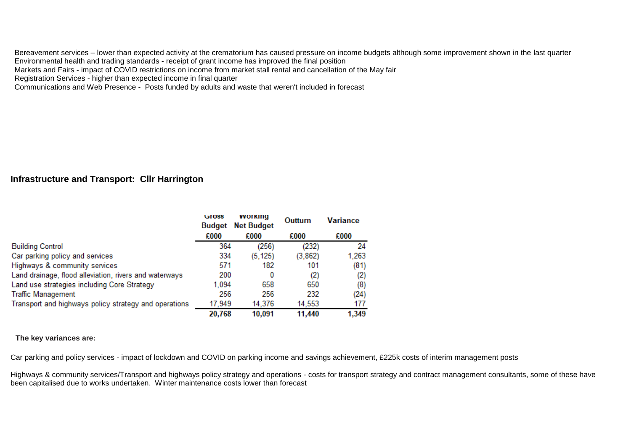Bereavement services – lower than expected activity at the crematorium has caused pressure on income budgets although some improvement shown in the last quarter Environmental health and trading standards - receipt of grant income has improved the final position Markets and Fairs - impact of COVID restrictions on income from market stall rental and cancellation of the May fair Registration Services - higher than expected income in final quarter

Communications and Web Presence - Posts funded by adults and waste that weren't included in forecast

# **Infrastructure and Transport: Cllr Harrington**

|                                                        | GIOSS<br><b>Budget</b> | <b>VVOI KING</b><br><b>Net Budget</b> | Outturn | <b>Variance</b> |
|--------------------------------------------------------|------------------------|---------------------------------------|---------|-----------------|
|                                                        | £000                   | £000                                  | £000    | £000            |
| <b>Building Control</b>                                | 364                    | (256)                                 | (232)   | 24              |
| Car parking policy and services                        | 334                    | (5, 125)                              | (3,862) | 1,263           |
| Highways & community services                          | 571                    | 182                                   | 101     | (81)            |
| Land drainage, flood alleviation, rivers and waterways | 200                    | 0                                     | (2)     | (2)             |
| Land use strategies including Core Strategy            | 1,094                  | 658                                   | 650     | (8)             |
| <b>Traffic Management</b>                              | 256                    | 256                                   | 232     | (24)            |
| Transport and highways policy strategy and operations  | 17,949                 | 14,376                                | 14,553  | 177             |
|                                                        | 20,768                 | 10,091                                | 11,440  | 1,349           |

#### **The key variances are:**

Car parking and policy services - impact of lockdown and COVID on parking income and savings achievement, £225k costs of interim management posts

Highways & community services/Transport and highways policy strategy and operations - costs for transport strategy and contract management consultants, some of these have been capitalised due to works undertaken. Winter maintenance costs lower than forecast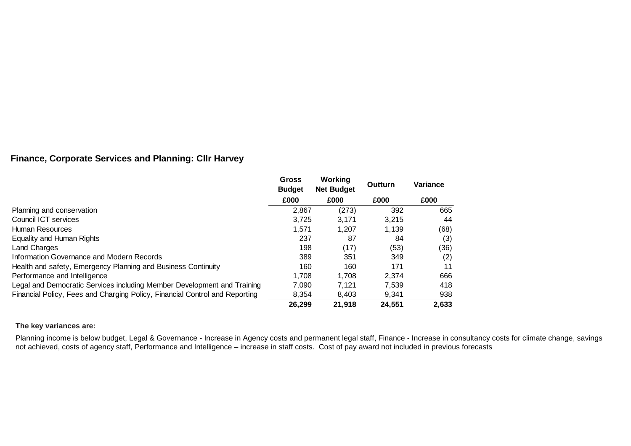# **Finance, Corporate Services and Planning: Cllr Harvey**

|                                                                             | <b>Gross</b><br><b>Budget</b> | Working<br><b>Net Budget</b> | Outturn | Variance |
|-----------------------------------------------------------------------------|-------------------------------|------------------------------|---------|----------|
|                                                                             | £000                          | £000                         | £000    | £000     |
| Planning and conservation                                                   | 2,867                         | (273)                        | 392     | 665      |
| Council ICT services                                                        | 3.725                         | 3.171                        | 3.215   | 44       |
| Human Resources                                                             | 1,571                         | 1.207                        | 1,139   | (68)     |
| Equality and Human Rights                                                   | 237                           | 87                           | 84      | (3)      |
| <b>Land Charges</b>                                                         | 198                           | (17)                         | (53)    | (36)     |
| Information Governance and Modern Records                                   | 389                           | 351                          | 349     | (2)      |
| Health and safety, Emergency Planning and Business Continuity               | 160                           | 160                          | 171     | 11       |
| Performance and Intelligence                                                | 1.708                         | 1.708                        | 2.374   | 666      |
| Legal and Democratic Services including Member Development and Training     | 7,090                         | 7.121                        | 7,539   | 418      |
| Financial Policy, Fees and Charging Policy, Financial Control and Reporting | 8.354                         | 8.403                        | 9,341   | 938      |
|                                                                             | 26,299                        | 21,918                       | 24,551  | 2,633    |

## **The key variances are:**

Planning income is below budget, Legal & Governance - Increase in Agency costs and permanent legal staff, Finance - Increase in consultancy costs for climate change, savings not achieved, costs of agency staff, Performance and Intelligence – increase in staff costs. Cost of pay award not included in previous forecasts